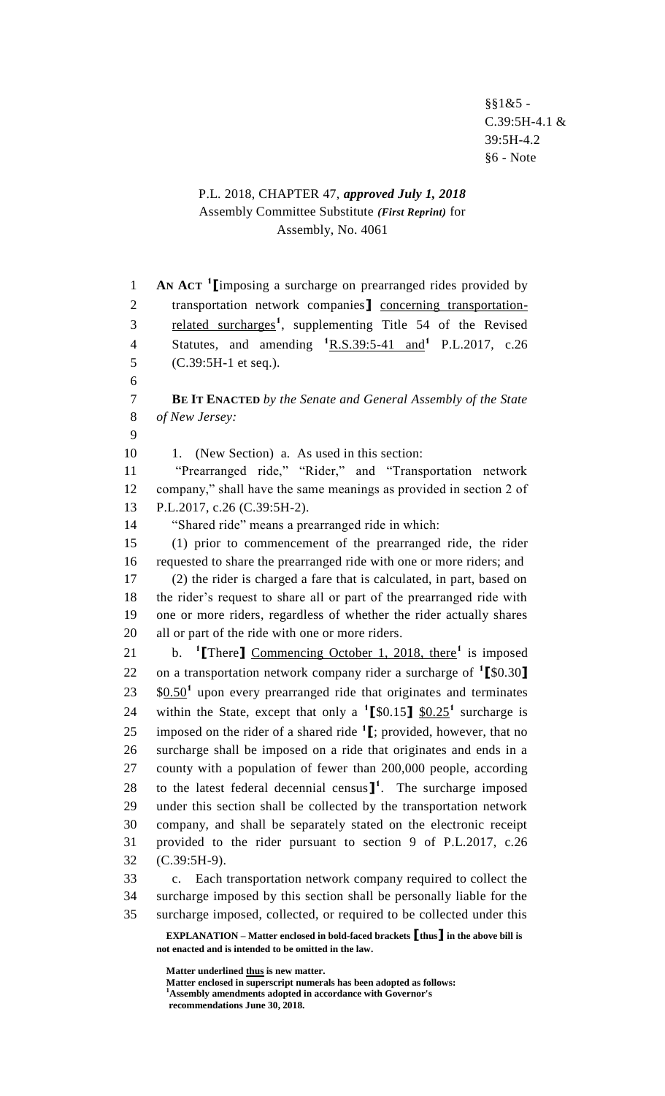§§1&5 - C.39:5H-4.1 & 39:5H-4.2 §6 - Note

## P.L. 2018, CHAPTER 47, *approved July 1, 2018* Assembly Committee Substitute *(First Reprint)* for Assembly, No. 4061

**EXPLANATION – Matter enclosed in bold-faced brackets [thus] in the above bill is AN ACT <sup>1</sup>** 1 **[**imposing a surcharge on prearranged rides provided by transportation network companies**]** concerning transportation-3 related surcharges<sup>1</sup>, supplementing Title 54 of the Revised Statutes, and amending **<sup>1</sup>**R.S.39:5-41 and**<sup>1</sup>** 4 P.L.2017, c.26 (C.39:5H-1 et seq.). 6 **BE IT ENACTED** *by the Senate and General Assembly of the State of New Jersey:* 9 10 1. (New Section) a. As used in this section: "Prearranged ride," "Rider," and "Transportation network company," shall have the same meanings as provided in section 2 of P.L.2017, c.26 (C.39:5H-2). "Shared ride" means a prearranged ride in which: (1) prior to commencement of the prearranged ride, the rider requested to share the prearranged ride with one or more riders; and (2) the rider is charged a fare that is calculated, in part, based on the rider's request to share all or part of the prearranged ride with one or more riders, regardless of whether the rider actually shares all or part of the ride with one or more riders. 21 b. <sup>1</sup>[There] Commencing October 1, 2018, there<sup>1</sup> is imposed 22 on a transportation network company rider a surcharge of <sup>1</sup>[\$0.30] 23 \$0.50<sup>1</sup> upon every prearranged ride that originates and terminates 24 within the State, except that only a  $^1$ [\$0.15]  $\frac{10.25}{10.25}$  surcharge is 25 imposed on the rider of a shared ride  $\textbf{1}$  [; provided, however, that no surcharge shall be imposed on a ride that originates and ends in a county with a population of fewer than 200,000 people, according 28 to the latest federal decennial census $\mathbf{l}^1$ . The surcharge imposed under this section shall be collected by the transportation network company, and shall be separately stated on the electronic receipt provided to the rider pursuant to section 9 of P.L.2017, c.26 (C.39:5H-9). c. Each transportation network company required to collect the surcharge imposed by this section shall be personally liable for the surcharge imposed, collected, or required to be collected under this

**not enacted and is intended to be omitted in the law.**

**Matter underlined thus is new matter.**

**Matter enclosed in superscript numerals has been adopted as follows: <sup>1</sup>Assembly amendments adopted in accordance with Governor's recommendations June 30, 2018.**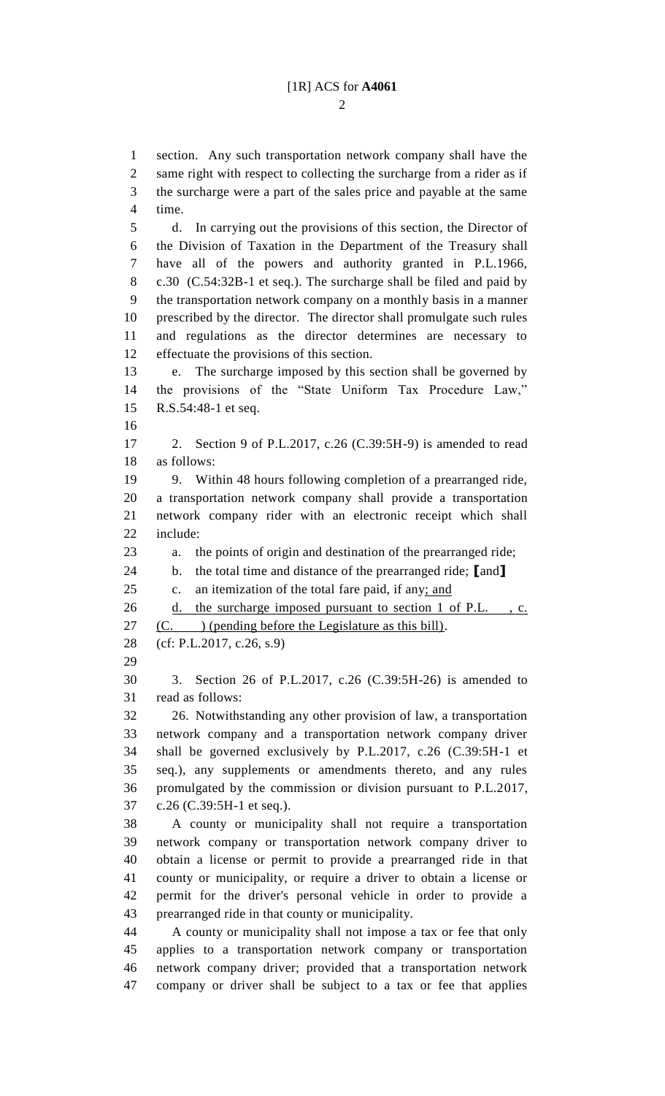$\mathcal{D}_{\mathcal{L}}$ 

 section. Any such transportation network company shall have the same right with respect to collecting the surcharge from a rider as if the surcharge were a part of the sales price and payable at the same time. d. In carrying out the provisions of this section, the Director of the Division of Taxation in the Department of the Treasury shall have all of the powers and authority granted in P.L.1966, c.30 (C.54:32B-1 et seq.). The surcharge shall be filed and paid by the transportation network company on a monthly basis in a manner prescribed by the director. The director shall promulgate such rules and regulations as the director determines are necessary to effectuate the provisions of this section. e. The surcharge imposed by this section shall be governed by the provisions of the "State Uniform Tax Procedure Law," R.S.54:48-1 et seq. 2. Section 9 of P.L.2017, c.26 (C.39:5H-9) is amended to read as follows: 9. Within 48 hours following completion of a prearranged ride, a transportation network company shall provide a transportation network company rider with an electronic receipt which shall include: a. the points of origin and destination of the prearranged ride; b. the total time and distance of the prearranged ride; **[**and**]** c. an itemization of the total fare paid, if any; and d. the surcharge imposed pursuant to section 1 of P.L. , c.  $(C.$  ) (pending before the Legislature as this bill). (cf: P.L.2017, c.26, s.9) 3. Section 26 of P.L.2017, c.26 (C.39:5H-26) is amended to read as follows: 26. Notwithstanding any other provision of law, a transportation network company and a transportation network company driver shall be governed exclusively by P.L.2017, c.26 (C.39:5H-1 et seq.), any supplements or amendments thereto, and any rules promulgated by the commission or division pursuant to P.L.2017, c.26 (C.39:5H-1 et seq.). A county or municipality shall not require a transportation network company or transportation network company driver to obtain a license or permit to provide a prearranged ride in that county or municipality, or require a driver to obtain a license or permit for the driver's personal vehicle in order to provide a prearranged ride in that county or municipality. A county or municipality shall not impose a tax or fee that only applies to a transportation network company or transportation network company driver; provided that a transportation network company or driver shall be subject to a tax or fee that applies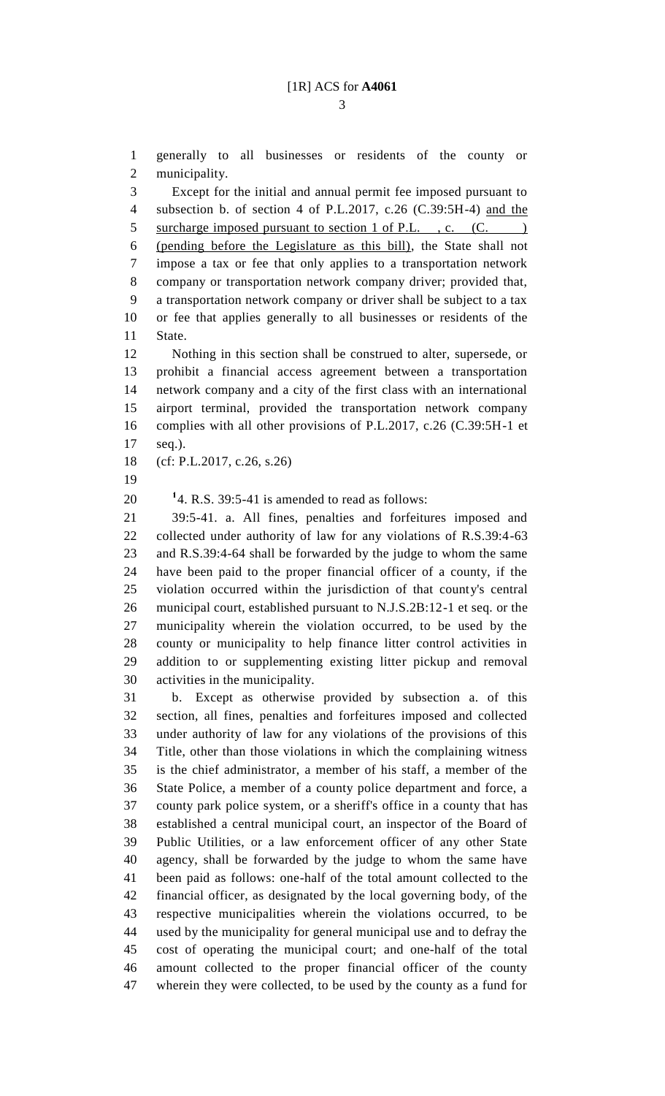generally to all businesses or residents of the county or municipality.

 Except for the initial and annual permit fee imposed pursuant to subsection b. of section 4 of P.L.2017, c.26 (C.39:5H-4) and the 5 surcharge imposed pursuant to section 1 of P.L., c. (C. (pending before the Legislature as this bill), the State shall not impose a tax or fee that only applies to a transportation network company or transportation network company driver; provided that, a transportation network company or driver shall be subject to a tax or fee that applies generally to all businesses or residents of the State.

 Nothing in this section shall be construed to alter, supersede, or prohibit a financial access agreement between a transportation network company and a city of the first class with an international airport terminal, provided the transportation network company complies with all other provisions of P.L.2017, c.26 (C.39:5H-1 et seq.).

(cf: P.L.2017, c.26, s.26)

 $14.$  R.S. 39:5-41 is amended to read as follows:

 39:5-41. a. All fines, penalties and forfeitures imposed and collected under authority of law for any violations of R.S.39:4-63 and R.S.39:4-64 shall be forwarded by the judge to whom the same have been paid to the proper financial officer of a county, if the violation occurred within the jurisdiction of that county's central municipal court, established pursuant to N.J.S.2B:12-1 et seq. or the municipality wherein the violation occurred, to be used by the county or municipality to help finance litter control activities in addition to or supplementing existing litter pickup and removal activities in the municipality.

 b. Except as otherwise provided by subsection a. of this section, all fines, penalties and forfeitures imposed and collected under authority of law for any violations of the provisions of this Title, other than those violations in which the complaining witness is the chief administrator, a member of his staff, a member of the State Police, a member of a county police department and force, a county park police system, or a sheriff's office in a county that has established a central municipal court, an inspector of the Board of Public Utilities, or a law enforcement officer of any other State agency, shall be forwarded by the judge to whom the same have been paid as follows: one-half of the total amount collected to the financial officer, as designated by the local governing body, of the respective municipalities wherein the violations occurred, to be used by the municipality for general municipal use and to defray the cost of operating the municipal court; and one-half of the total amount collected to the proper financial officer of the county wherein they were collected, to be used by the county as a fund for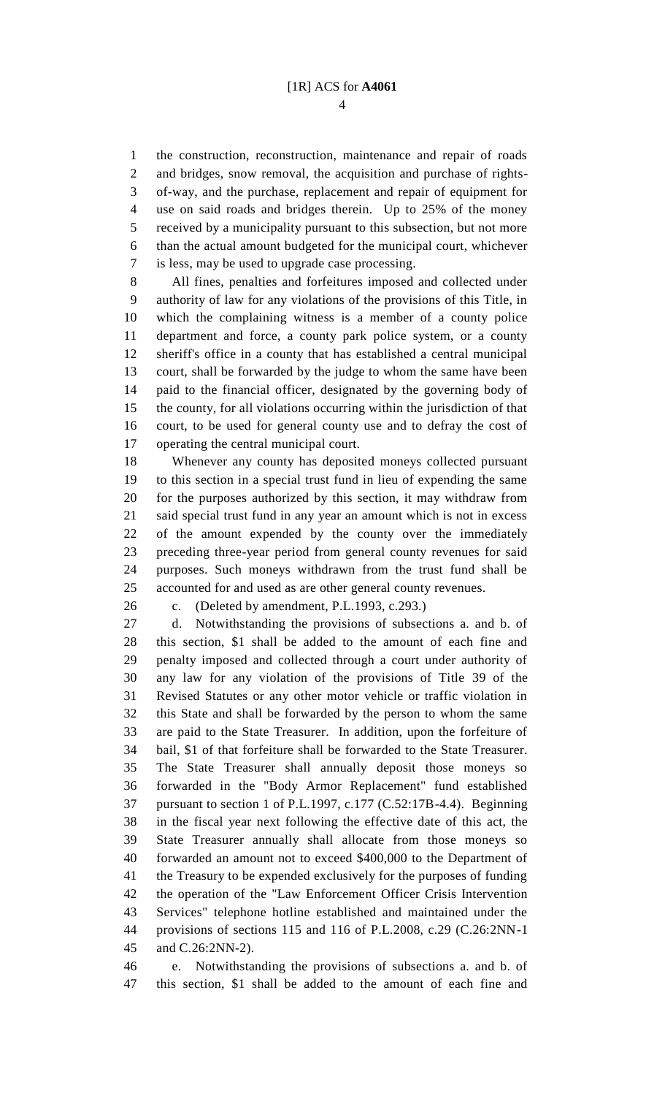the construction, reconstruction, maintenance and repair of roads and bridges, snow removal, the acquisition and purchase of rights- of-way, and the purchase, replacement and repair of equipment for use on said roads and bridges therein. Up to 25% of the money received by a municipality pursuant to this subsection, but not more than the actual amount budgeted for the municipal court, whichever is less, may be used to upgrade case processing.

 All fines, penalties and forfeitures imposed and collected under authority of law for any violations of the provisions of this Title, in which the complaining witness is a member of a county police department and force, a county park police system, or a county sheriff's office in a county that has established a central municipal court, shall be forwarded by the judge to whom the same have been paid to the financial officer, designated by the governing body of the county, for all violations occurring within the jurisdiction of that court, to be used for general county use and to defray the cost of operating the central municipal court.

 Whenever any county has deposited moneys collected pursuant to this section in a special trust fund in lieu of expending the same for the purposes authorized by this section, it may withdraw from said special trust fund in any year an amount which is not in excess of the amount expended by the county over the immediately preceding three-year period from general county revenues for said purposes. Such moneys withdrawn from the trust fund shall be accounted for and used as are other general county revenues.

c. (Deleted by amendment, P.L.1993, c.293.)

 d. Notwithstanding the provisions of subsections a. and b. of this section, \$1 shall be added to the amount of each fine and penalty imposed and collected through a court under authority of any law for any violation of the provisions of Title 39 of the Revised Statutes or any other motor vehicle or traffic violation in this State and shall be forwarded by the person to whom the same are paid to the State Treasurer. In addition, upon the forfeiture of bail, \$1 of that forfeiture shall be forwarded to the State Treasurer. The State Treasurer shall annually deposit those moneys so forwarded in the "Body Armor Replacement" fund established pursuant to section 1 of P.L.1997, c.177 (C.52:17B-4.4). Beginning in the fiscal year next following the effective date of this act, the State Treasurer annually shall allocate from those moneys so forwarded an amount not to exceed \$400,000 to the Department of the Treasury to be expended exclusively for the purposes of funding the operation of the "Law Enforcement Officer Crisis Intervention Services" telephone hotline established and maintained under the provisions of sections 115 and 116 of P.L.2008, c.29 (C.26:2NN-1 and C.26:2NN-2).

 e. Notwithstanding the provisions of subsections a. and b. of this section, \$1 shall be added to the amount of each fine and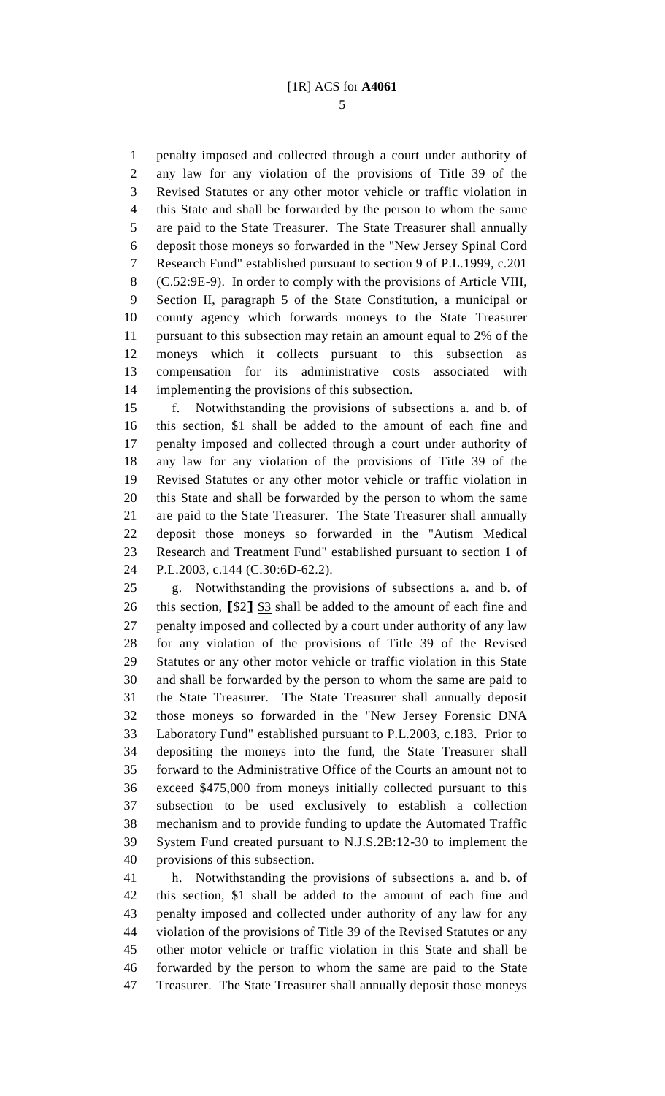penalty imposed and collected through a court under authority of any law for any violation of the provisions of Title 39 of the Revised Statutes or any other motor vehicle or traffic violation in this State and shall be forwarded by the person to whom the same are paid to the State Treasurer. The State Treasurer shall annually deposit those moneys so forwarded in the "New Jersey Spinal Cord Research Fund" established pursuant to section 9 of P.L.1999, c.201 (C.52:9E-9). In order to comply with the provisions of Article VIII, Section II, paragraph 5 of the State Constitution, a municipal or county agency which forwards moneys to the State Treasurer pursuant to this subsection may retain an amount equal to 2% of the moneys which it collects pursuant to this subsection as compensation for its administrative costs associated with implementing the provisions of this subsection.

 f. Notwithstanding the provisions of subsections a. and b. of this section, \$1 shall be added to the amount of each fine and penalty imposed and collected through a court under authority of any law for any violation of the provisions of Title 39 of the Revised Statutes or any other motor vehicle or traffic violation in this State and shall be forwarded by the person to whom the same are paid to the State Treasurer. The State Treasurer shall annually deposit those moneys so forwarded in the "Autism Medical Research and Treatment Fund" established pursuant to section 1 of P.L.2003, c.144 (C.30:6D-62.2).

 g. Notwithstanding the provisions of subsections a. and b. of this section, **[**\$2**]** \$3 shall be added to the amount of each fine and penalty imposed and collected by a court under authority of any law for any violation of the provisions of Title 39 of the Revised Statutes or any other motor vehicle or traffic violation in this State and shall be forwarded by the person to whom the same are paid to the State Treasurer. The State Treasurer shall annually deposit those moneys so forwarded in the "New Jersey Forensic DNA Laboratory Fund" established pursuant to P.L.2003, c.183. Prior to depositing the moneys into the fund, the State Treasurer shall forward to the Administrative Office of the Courts an amount not to exceed \$475,000 from moneys initially collected pursuant to this subsection to be used exclusively to establish a collection mechanism and to provide funding to update the Automated Traffic System Fund created pursuant to N.J.S.2B:12-30 to implement the provisions of this subsection.

 h. Notwithstanding the provisions of subsections a. and b. of this section, \$1 shall be added to the amount of each fine and penalty imposed and collected under authority of any law for any violation of the provisions of Title 39 of the Revised Statutes or any other motor vehicle or traffic violation in this State and shall be forwarded by the person to whom the same are paid to the State Treasurer. The State Treasurer shall annually deposit those moneys